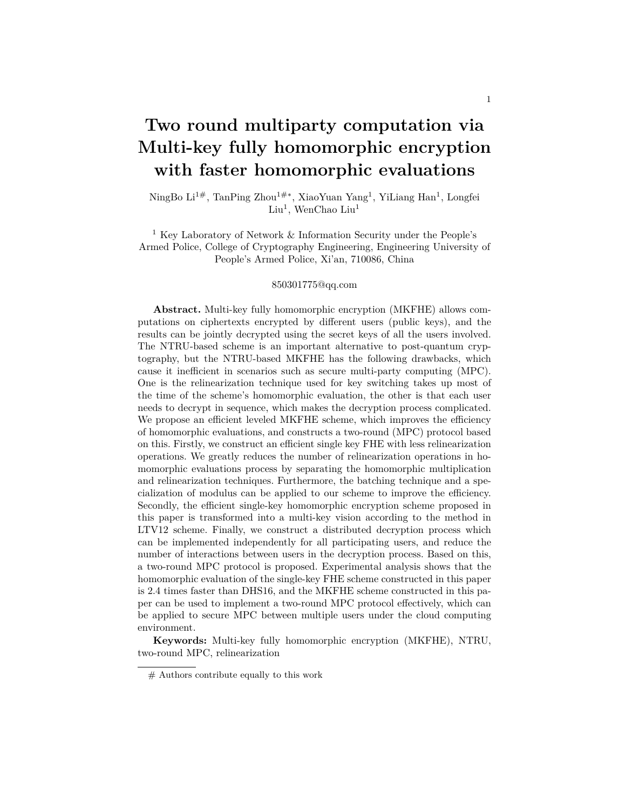# **Two round multiparty computation via Multi-key fully homomorphic encryption with faster homomorphic evaluations**

NingBo Li<sup>1#</sup>, TanPing Zhou<sup>1#</sup>\*, XiaoYuan Yang<sup>1</sup>, YiLiang Han<sup>1</sup>, Longfei Liu<sup>1</sup>, WenChao Liu<sup>1</sup>

<sup>1</sup> Key Laboratory of Network  $\&$  Information Security under the People's Armed Police, College of Cryptography Engineering, Engineering University of People's Armed Police, Xi'an, 710086, China

#### 850301775@qq.com

**Abstract.** Multi-key fully homomorphic encryption (MKFHE) allows computations on ciphertexts encrypted by different users (public keys), and the results can be jointly decrypted using the secret keys of all the users involved. The NTRU-based scheme is an important alternative to post-quantum cryptography, but the NTRU-based MKFHE has the following drawbacks, which cause it inefficient in scenarios such as secure multi-party computing (MPC). One is the relinearization technique used for key switching takes up most of the time of the scheme's homomorphic evaluation, the other is that each user needs to decrypt in sequence, which makes the decryption process complicated. We propose an efficient leveled MKFHE scheme, which improves the efficiency of homomorphic evaluations, and constructs a two-round (MPC) protocol based on this. Firstly, we construct an efficient single key FHE with less relinearization operations. We greatly reduces the number of relinearization operations in homomorphic evaluations process by separating the homomorphic multiplication and relinearization techniques. Furthermore, the batching technique and a specialization of modulus can be applied to our scheme to improve the efficiency. Secondly, the efficient single-key homomorphic encryption scheme proposed in this paper is transformed into a multi-key vision according to the method in LTV12 scheme. Finally, we construct a distributed decryption process which can be implemented independently for all participating users, and reduce the number of interactions between users in the decryption process. Based on this, a two-round MPC protocol is proposed. Experimental analysis shows that the homomorphic evaluation of the single-key FHE scheme constructed in this paper is 2.4 times faster than DHS16, and the MKFHE scheme constructed in this paper can be used to implement a two-round MPC protocol effectively, which can be applied to secure MPC between multiple users under the cloud computing environment.

**Keywords:** Multi-key fully homomorphic encryption (MKFHE), NTRU, two-round MPC, relinearization

<sup>#</sup> Authors contribute equally to this work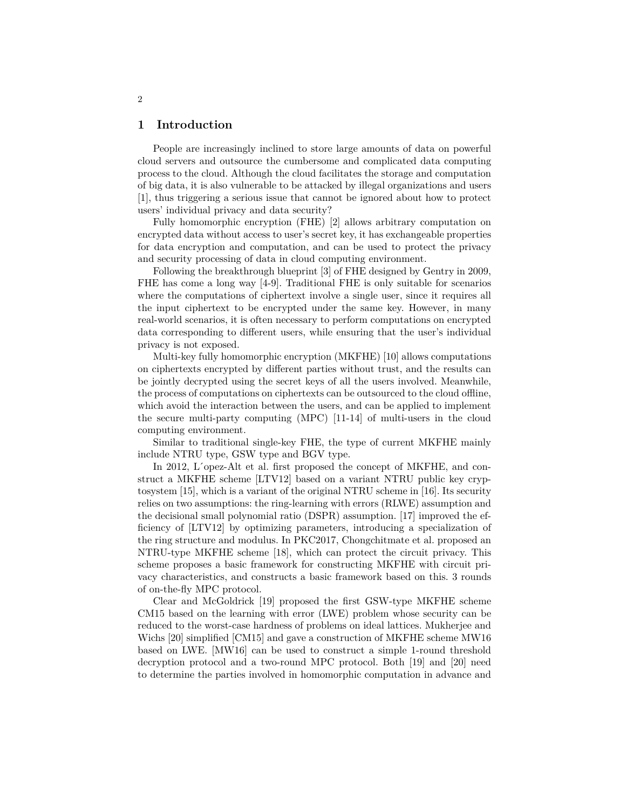# **1 Introduction**

People are increasingly inclined to store large amounts of data on powerful cloud servers and outsource the cumbersome and complicated data computing process to the cloud. Although the cloud facilitates the storage and computation of big data, it is also vulnerable to be attacked by illegal organizations and users [1], thus triggering a serious issue that cannot be ignored about how to protect users' individual privacy and data security?

Fully homomorphic encryption (FHE) [2] allows arbitrary computation on encrypted data without access to user's secret key, it has exchangeable properties for data encryption and computation, and can be used to protect the privacy and security processing of data in cloud computing environment.

Following the breakthrough blueprint [3] of FHE designed by Gentry in 2009, FHE has come a long way [4-9]. Traditional FHE is only suitable for scenarios where the computations of ciphertext involve a single user, since it requires all the input ciphertext to be encrypted under the same key. However, in many real-world scenarios, it is often necessary to perform computations on encrypted data corresponding to different users, while ensuring that the user's individual privacy is not exposed.

Multi-key fully homomorphic encryption (MKFHE) [10] allows computations on ciphertexts encrypted by different parties without trust, and the results can be jointly decrypted using the secret keys of all the users involved. Meanwhile, the process of computations on ciphertexts can be outsourced to the cloud offline, which avoid the interaction between the users, and can be applied to implement the secure multi-party computing (MPC) [11-14] of multi-users in the cloud computing environment.

Similar to traditional single-key FHE, the type of current MKFHE mainly include NTRU type, GSW type and BGV type.

In 2012, L'opez-Alt et al. first proposed the concept of MKFHE, and construct a MKFHE scheme [LTV12] based on a variant NTRU public key cryptosystem [15], which is a variant of the original NTRU scheme in [16]. Its security relies on two assumptions: the ring-learning with errors (RLWE) assumption and the decisional small polynomial ratio (DSPR) assumption. [17] improved the efficiency of [LTV12] by optimizing parameters, introducing a specialization of the ring structure and modulus. In PKC2017, Chongchitmate et al. proposed an NTRU-type MKFHE scheme [18], which can protect the circuit privacy. This scheme proposes a basic framework for constructing MKFHE with circuit privacy characteristics, and constructs a basic framework based on this. 3 rounds of on-the-fly MPC protocol.

Clear and McGoldrick [19] proposed the first GSW-type MKFHE scheme CM15 based on the learning with error (LWE) problem whose security can be reduced to the worst-case hardness of problems on ideal lattices. Mukherjee and Wichs [20] simplified [CM15] and gave a construction of MKFHE scheme MW16 based on LWE. [MW16] can be used to construct a simple 1-round threshold decryption protocol and a two-round MPC protocol. Both [19] and [20] need to determine the parties involved in homomorphic computation in advance and

2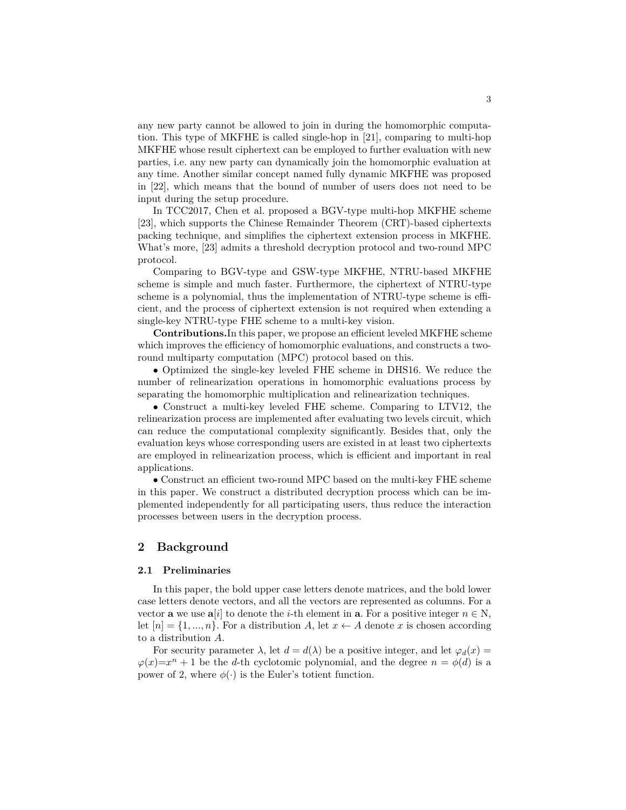any new party cannot be allowed to join in during the homomorphic computation. This type of MKFHE is called single-hop in [21], comparing to multi-hop MKFHE whose result ciphertext can be employed to further evaluation with new parties, i.e. any new party can dynamically join the homomorphic evaluation at any time. Another similar concept named fully dynamic MKFHE was proposed in [22], which means that the bound of number of users does not need to be input during the setup procedure.

In TCC2017, Chen et al. proposed a BGV-type multi-hop MKFHE scheme [23], which supports the Chinese Remainder Theorem (CRT)-based ciphertexts packing technique, and simplifies the ciphertext extension process in MKFHE. What's more, [23] admits a threshold decryption protocol and two-round MPC protocol.

Comparing to BGV-type and GSW-type MKFHE, NTRU-based MKFHE scheme is simple and much faster. Furthermore, the ciphertext of NTRU-type scheme is a polynomial, thus the implementation of NTRU-type scheme is efficient, and the process of ciphertext extension is not required when extending a single-key NTRU-type FHE scheme to a multi-key vision.

**Contributions.**In this paper, we propose an efficient leveled MKFHE scheme which improves the efficiency of homomorphic evaluations, and constructs a tworound multiparty computation (MPC) protocol based on this.

*•* Optimized the single-key leveled FHE scheme in DHS16. We reduce the number of relinearization operations in homomorphic evaluations process by separating the homomorphic multiplication and relinearization techniques.

*•* Construct a multi-key leveled FHE scheme. Comparing to LTV12, the relinearization process are implemented after evaluating two levels circuit, which can reduce the computational complexity significantly. Besides that, only the evaluation keys whose corresponding users are existed in at least two ciphertexts are employed in relinearization process, which is efficient and important in real applications.

*•* Construct an efficient two-round MPC based on the multi-key FHE scheme in this paper. We construct a distributed decryption process which can be implemented independently for all participating users, thus reduce the interaction processes between users in the decryption process.

# **2 Background**

# **2.1 Preliminaries**

In this paper, the bold upper case letters denote matrices, and the bold lower case letters denote vectors, and all the vectors are represented as columns. For a vector **a** we use  $a[i]$  to denote the *i*-th element in **a**. For a positive integer  $n \in \mathbb{N}$ , let  $[n] = \{1, ..., n\}$ . For a distribution *A*, let  $x \leftarrow A$  denote *x* is chosen according to a distribution *A*.

For security parameter  $\lambda$ , let  $d = d(\lambda)$  be a positive integer, and let  $\varphi_d(x) =$  $\varphi(x)=x^n+1$  be the *d*-th cyclotomic polynomial, and the degree  $n = \varphi(d)$  is a power of 2, where  $\phi(\cdot)$  is the Euler's totient function.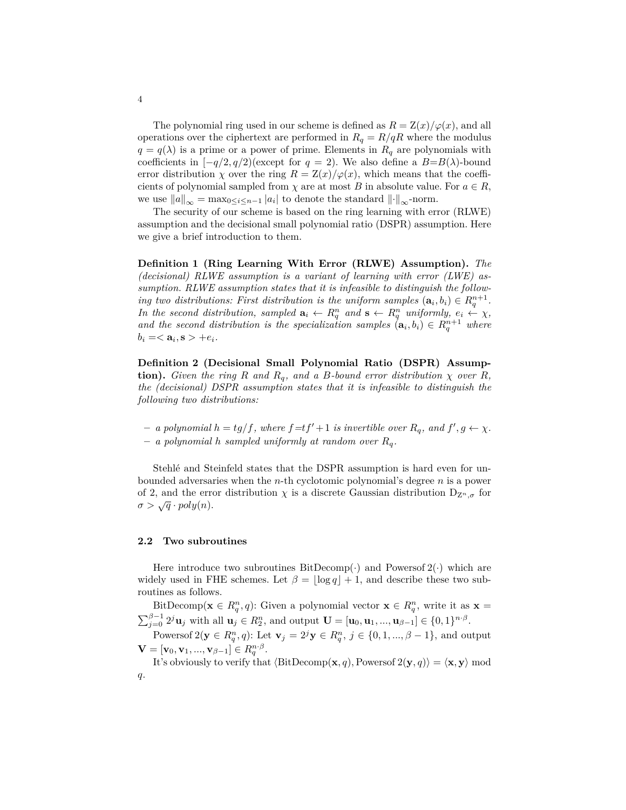The polynomial ring used in our scheme is defined as  $R = \frac{Z(x)}{\varphi(x)}$ , and all operations over the ciphertext are performed in  $R_q = R/qR$  where the modulus  $q = q(\lambda)$  is a prime or a power of prime. Elements in  $R_q$  are polynomials with coefficients in  $[-q/2, q/2)$ (except for  $q = 2$ ). We also define a  $B=B(\lambda)$ -bound error distribution *χ* over the ring  $R = \frac{Z(x)}{\varphi(x)}$ , which means that the coefficients of polynomial sampled from  $\chi$  are at most *B* in absolute value. For  $a \in R$ , we use  $||a||_{\infty} = \max_{0 \le i \le n-1} |a_i|$  to denote the standard  $|| \cdot ||_{\infty}$ -norm.

The security of our scheme is based on the ring learning with error (RLWE) assumption and the decisional small polynomial ratio (DSPR) assumption. Here we give a brief introduction to them.

**Definition 1 (Ring Learning With Error (RLWE) Assumption).** *The (decisional) RLWE assumption is a variant of learning with error (LWE) assumption. RLWE assumption states that it is infeasible to distinguish the following two distributions: First distribution is the uniform samples*  $(\mathbf{a}_i, b_i) \in R_q^{n+1}$ . *In the second distribution, sampled*  $\mathbf{a}_i \leftarrow R_q^n$  *and*  $\mathbf{s} \leftarrow R_q^n$  *uniformly,*  $e_i \leftarrow \chi$ *, and the second distribution is the specialization samples*  $(\mathbf{a}_i, b_i) \in R_q^{n+1}$  where  $b_i = <{\bf a}_i, {\bf s} > +e_i.$ 

**Definition 2 (Decisional Small Polynomial Ratio (DSPR) Assumption).** *Given the ring*  $R$  *and*  $R_q$ *, and a*  $B$ *-bound error distribution*  $\chi$  *over*  $R$ *, the (decisional) DSPR assumption states that it is infeasible to distinguish the following two distributions:*

- $-$  *a polynomial*  $h = tg/f$ *, where*  $f = tf' + 1$  *is invertible over*  $R_q$ *, and*  $f', g \leftarrow \chi$ *.*
- **–** *a polynomial h sampled uniformly at random over Rq.*

Stehlé and Steinfeld states that the DSPR assumption is hard even for unbounded adversaries when the *n*-th cyclotomic polynomial's degree *n* is a power of 2, and the error distribution  $\chi$  is a discrete Gaussian distribution  $D_{Z^n, \sigma}$  for  $\sigma > \sqrt{q} \cdot poly(n).$ 

# **2.2 Two subroutines**

Here introduce two subroutines  $BitDecomp(\cdot)$  and Powersof  $2(\cdot)$  which are widely used in FHE schemes. Let  $\beta = |\log q| + 1$ , and describe these two subroutines as follows.

BitDecomp( $\mathbf{x} \in R_q^n, q$ ): Given a polynomial vector  $\mathbf{x} \in R_q^n$ , write it as  $\mathbf{x} =$  $\sum_{j=0}^{\beta-1} 2^j \mathbf{u}_j$  with all  $\mathbf{u}_j \in R_2^n$ , and output  $\mathbf{U} = [\mathbf{u}_0, \mathbf{u}_1, ..., \mathbf{u}_{\beta-1}] \in \{0,1\}^{n \cdot \beta}$ .

Powersof  $2(y \in R_q^n, q)$ : Let  $\mathbf{v}_j = 2^j \mathbf{y} \in R_q^n, j \in \{0, 1, ..., \beta - 1\}$ , and output  $\mathbf{V} = [\mathbf{v}_0, \mathbf{v}_1, ..., \mathbf{v}_{\beta-1}] \in R^{n \cdot \beta}_q.$ 

It's obviously to verify that  $\langle \text{BitDecomp}(\mathbf{x}, q), \text{Powersof } 2(\mathbf{y}, q) \rangle = \langle \mathbf{x}, \mathbf{y} \rangle \text{ mod }$ *q*.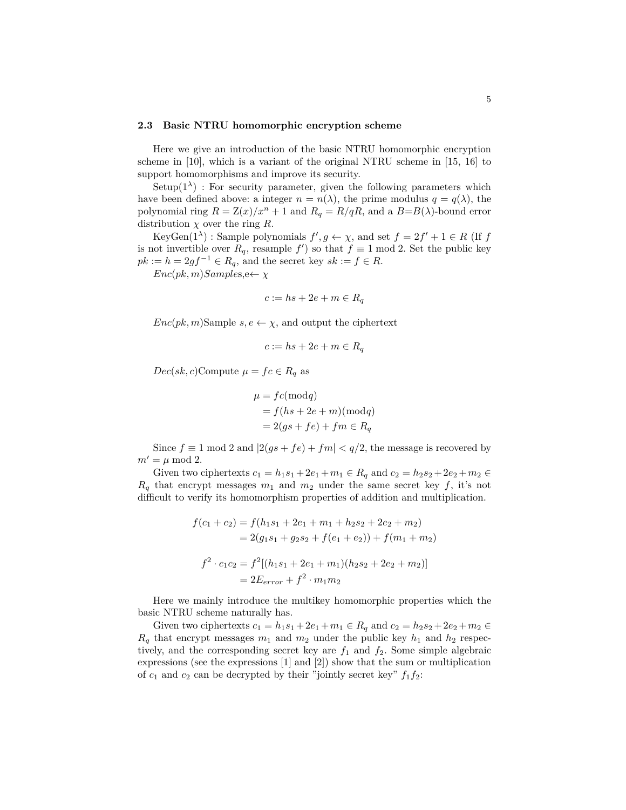# **2.3 Basic NTRU homomorphic encryption scheme**

Here we give an introduction of the basic NTRU homomorphic encryption scheme in [10], which is a variant of the original NTRU scheme in [15, 16] to support homomorphisms and improve its security.

 $Setup(1^{\lambda})$ : For security parameter, given the following parameters which have been defined above: a integer  $n = n(\lambda)$ , the prime modulus  $q = q(\lambda)$ , the polynomial ring  $R = \frac{Z(x)}{x^n + 1}$  and  $R_q = \frac{R}{qR}$ , and a  $B = B(\lambda)$ -bound error distribution  $\chi$  over the ring  $R$ .

KeyGen( $1^{\lambda}$ ) : Sample polynomials  $f', g \leftarrow \chi$ , and set  $f = 2f' + 1 \in R$  (If  $f$ is not invertible over  $R_q$ , resample  $f'$  so that  $f \equiv 1 \mod 2$ . Set the public key  $pk := h = 2gf^{-1} \in R_q$ , and the secret key  $sk := f \in R$ .

 $Enc(pk, m) Samples, e \leftarrow \chi$ 

$$
c := hs + 2e + m \in R_q
$$

*Enc*( $pk, m$ )Sample  $s, e \leftarrow \chi$ , and output the ciphertext

$$
c := hs + 2e + m \in R_q
$$

 $Dec(sk, c)$ Compute  $\mu = fc \in R_q$  as

$$
\mu = fc(\text{mod}q)
$$
  
=  $f(hs + 2e + m)(\text{mod}q)$   
=  $2(gs + fe) + fm \in R_q$ 

Since  $f \equiv 1 \mod 2$  and  $|2(gs + fe) + fm| < q/2$ , the message is recovered by  $m' = \mu \mod 2.$ 

Given two ciphertexts  $c_1 = h_1 s_1 + 2e_1 + m_1 \in R_q$  and  $c_2 = h_2 s_2 + 2e_2 + m_2 \in$  $R_q$  that encrypt messages  $m_1$  and  $m_2$  under the same secret key  $f$ , it's not difficult to verify its homomorphism properties of addition and multiplication.

$$
f(c_1 + c_2) = f(h_1s_1 + 2e_1 + m_1 + h_2s_2 + 2e_2 + m_2)
$$
  
= 2(g<sub>1</sub>s<sub>1</sub> + g<sub>2</sub>s<sub>2</sub> + f(e<sub>1</sub> + e<sub>2</sub>)) + f(m<sub>1</sub> + m<sub>2</sub>)  

$$
f^2 \cdot c_1c_2 = f^2[(h_1s_1 + 2e_1 + m_1)(h_2s_2 + 2e_2 + m_2)]
$$
  
= 2E<sub>error</sub> + f<sup>2</sup> · m<sub>1</sub>m<sub>2</sub>

Here we mainly introduce the multikey homomorphic properties which the basic NTRU scheme naturally has.

Given two ciphertexts  $c_1 = h_1 s_1 + 2e_1 + m_1 \in R_q$  and  $c_2 = h_2 s_2 + 2e_2 + m_2 \in$  $R_q$  that encrypt messages  $m_1$  and  $m_2$  under the public key  $h_1$  and  $h_2$  respectively, and the corresponding secret key are  $f_1$  and  $f_2$ . Some simple algebraic expressions (see the expressions [1] and [2]) show that the sum or multiplication of  $c_1$  and  $c_2$  can be decrypted by their "jointly secret key"  $f_1 f_2$ :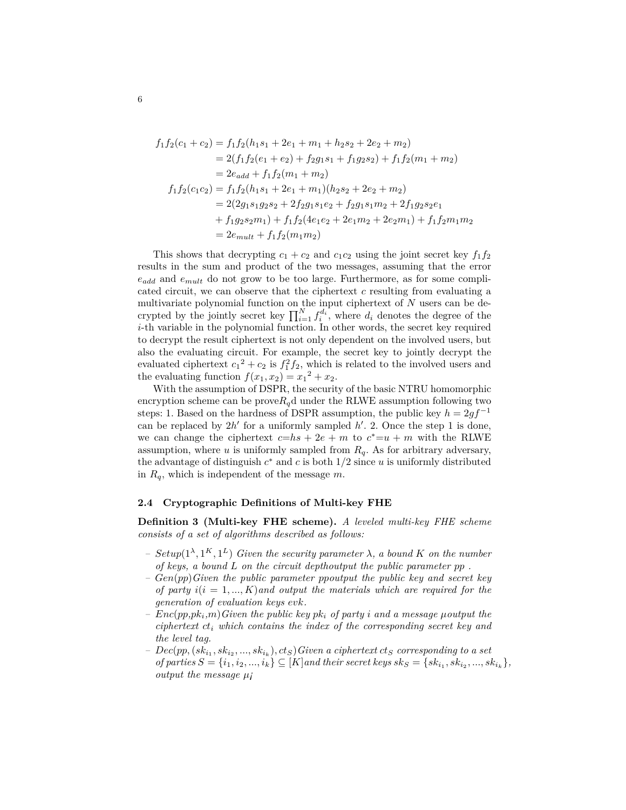$$
f_1 f_2(c_1 + c_2) = f_1 f_2(h_1 s_1 + 2e_1 + m_1 + h_2 s_2 + 2e_2 + m_2)
$$
  
= 2(f\_1 f\_2(e\_1 + e\_2) + f\_2 g\_1 s\_1 + f\_1 g\_2 s\_2) + f\_1 f\_2(m\_1 + m\_2)  
= 2e\_{add} + f\_1 f\_2(m\_1 + m\_2)  

$$
f_1 f_2(c_1 c_2) = f_1 f_2(h_1 s_1 + 2e_1 + m_1)(h_2 s_2 + 2e_2 + m_2)
$$
  
= 2(2g\_1 s\_1 g\_2 s\_2 + 2f\_2 g\_1 s\_1 e\_2 + f\_2 g\_1 s\_1 m\_2 + 2f\_1 g\_2 s\_2 e\_1  
+ f\_1 g\_2 s\_2 m\_1) + f\_1 f\_2(4e\_1 e\_2 + 2e\_1 m\_2 + 2e\_2 m\_1) + f\_1 f\_2 m\_1 m\_2  
= 2e\_{mult} + f\_1 f\_2(m\_1 m\_2)

This shows that decrypting  $c_1 + c_2$  and  $c_1c_2$  using the joint secret key  $f_1f_2$ results in the sum and product of the two messages, assuming that the error *eadd* and *emult* do not grow to be too large. Furthermore, as for some complicated circuit, we can observe that the ciphertext *c* resulting from evaluating a multivariate polynomial function on the input ciphertext of *N* users can be decrypted by the jointly secret key  $\prod_{i=1}^{N} f_i^{d_i}$ , where  $d_i$  denotes the degree of the *i*-th variable in the polynomial function. In other words, the secret key required to decrypt the result ciphertext is not only dependent on the involved users, but also the evaluating circuit. For example, the secret key to jointly decrypt the evaluated ciphertext  $c_1^2 + c_2$  is  $f_1^2 f_2$ , which is related to the involved users and the evaluating function  $f(x_1, x_2) = x_1^2 + x_2$ .

With the assumption of DSPR, the security of the basic NTRU homomorphic encryption scheme can be prove $R_q$ d under the RLWE assumption following two steps: 1. Based on the hardness of DSPR assumption, the public key  $h = 2gf^{-1}$ can be replaced by  $2h'$  for a uniformly sampled  $h'$ . 2. Once the step 1 is done, we can change the ciphertext  $c=hs+2e+m$  to  $c^*=u+m$  with the RLWE assumption, where  $u$  is uniformly sampled from  $R_q$ . As for arbitrary adversary, the advantage of distinguish  $c^*$  and  $c$  is both  $1/2$  since  $u$  is uniformly distributed in *Rq*, which is independent of the message *m*.

#### **2.4 Cryptographic Definitions of Multi-key FHE**

**Definition 3 (Multi-key FHE scheme).** *A leveled multi-key FHE scheme consists of a set of algorithms described as follows:*

- $-$  *Setup*( $1^{\lambda}, 1^{K}, 1^{L}$ ) *Given the security parameter*  $\lambda$ *, a bound K on the number of keys, a bound L on the circuit depthoutput the public parameter pp .*
- *– Gen*(*pp*)*Given the public parameter ppoutput the public key and secret key of party*  $i(i = 1, ..., K)$  and output the materials which are required for the *generation of evaluation keys evk.*
- $Enc(pp, pk, m) Given the public key pk, of party i and a message mouth t the$ *ciphertext ct<sup>i</sup> which contains the index of the corresponding secret key and the level tag.*
- $P = Dec(pp, (sk_{i_1}, sk_{i_2}, ..., sk_{i_k}), ct_S)$  *Given a ciphertext*  $ct_S$  *corresponding to a set* of parties  $S = \{i_1, i_2, ..., i_k\} \subseteq [K]$  and their secret keys  $sk_S = \{sk_{i_1}, sk_{i_2}, ..., sk_{i_k}\},$ *output the message µ¡*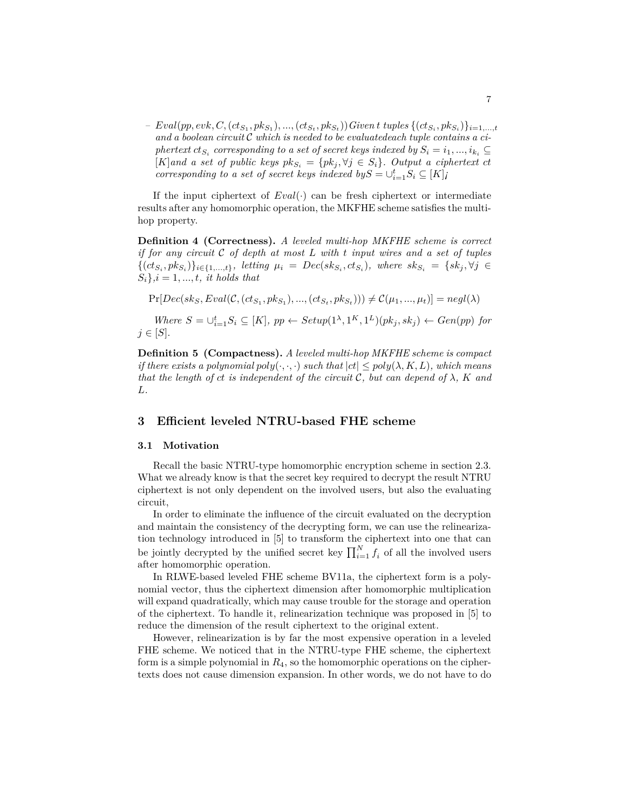$Eval(pp, evk, C, (ct_{S_1}, pk_{S_1}), ..., (ct_{S_t}, pk_{S_t})) Given t tuples \{(ct_{S_i}, pk_{S_i})\}_{i=1,...,t}$ *and a boolean circuit C which is needed to be evaluatedeach tuple contains a ciphertext*  $ct_{S_i}$  *corresponding to a set of secret keys indexed by*  $S_i = i_1, ..., i_{k_i}$   $\subseteq$  $[K]$  and a set of public keys  $pk_{S_i} = \{pk_j, \forall j \in S_i\}$ . Output a ciphertext ct *corresponding to a set of secret keys indexed by* $S = \bigcup_{i=1}^{t} S_i \subseteq [K]$ *<i>i* 

If the input ciphertext of *Eval*(*·*) can be fresh ciphertext or intermediate results after any homomorphic operation, the MKFHE scheme satisfies the multihop property.

**Definition 4 (Correctness).** *A leveled multi-hop MKFHE scheme is correct if for any circuit C of depth at most L with t input wires and a set of tuples*  $\{(ct_{S_i},pk_{S_i})\}_{i\in\{1,...,t\}},\$  letting  $\mu_i = Dec(sk_{S_i},ct_{S_i}),$  where  $sk_{S_i} = \{sk_j, \forall j \in$  $S_i$ ,  $i = 1, ..., t$ , *it holds that* 

 $Pr[Dec(sk_S,Eval(C, (ct_{S_1}, pk_{S_1}), ..., (ct_{S_t}, pk_{S_t}))) \neq C(\mu_1, ..., \mu_t)] = negl(\lambda)$ 

Where  $S = \bigcup_{i=1}^{t} S_i \subseteq [K]$ ,  $pp \leftarrow Setup(1^{\lambda}, 1^{K}, 1^{L})(pk_j, sk_j) \leftarrow Gen(pp)$  for *j ∈* [*S*]*.*

**Definition 5 (Compactness).** *A leveled multi-hop MKFHE scheme is compact if there exists a polynomial*  $poly(\cdot, \cdot, \cdot)$  *such that*  $|ct| \leq poly(\lambda, K, L)$ , which means *that the length of ct is independent of the circuit*  $\mathcal{C}$ *, but can depend of*  $\lambda$ *, K and L.*

# **3 Efficient leveled NTRU-based FHE scheme**

# **3.1 Motivation**

Recall the basic NTRU-type homomorphic encryption scheme in section 2.3. What we already know is that the secret key required to decrypt the result NTRU ciphertext is not only dependent on the involved users, but also the evaluating circuit,

In order to eliminate the influence of the circuit evaluated on the decryption and maintain the consistency of the decrypting form, we can use the relinearization technology introduced in [5] to transform the ciphertext into one that can be jointly decrypted by the unified secret key  $\prod_{i=1}^{N} f_i$  of all the involved users after homomorphic operation.

In RLWE-based leveled FHE scheme BV11a, the ciphertext form is a polynomial vector, thus the ciphertext dimension after homomorphic multiplication will expand quadratically, which may cause trouble for the storage and operation of the ciphertext. To handle it, relinearization technique was proposed in [5] to reduce the dimension of the result ciphertext to the original extent.

However, relinearization is by far the most expensive operation in a leveled FHE scheme. We noticed that in the NTRU-type FHE scheme, the ciphertext form is a simple polynomial in *R*4, so the homomorphic operations on the ciphertexts does not cause dimension expansion. In other words, we do not have to do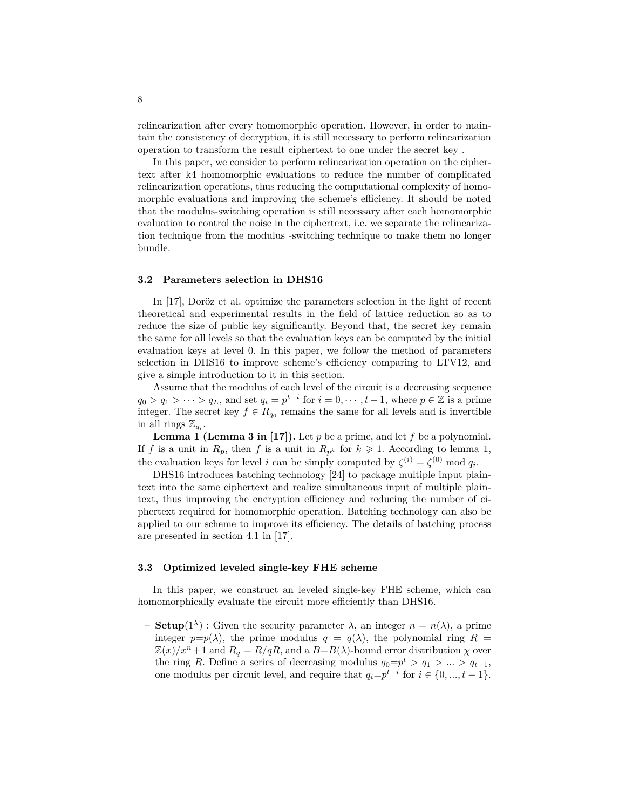relinearization after every homomorphic operation. However, in order to maintain the consistency of decryption, it is still necessary to perform relinearization operation to transform the result ciphertext to one under the secret key .

In this paper, we consider to perform relinearization operation on the ciphertext after k4 homomorphic evaluations to reduce the number of complicated relinearization operations, thus reducing the computational complexity of homomorphic evaluations and improving the scheme's efficiency. It should be noted that the modulus-switching operation is still necessary after each homomorphic evaluation to control the noise in the ciphertext, i.e. we separate the relinearization technique from the modulus -switching technique to make them no longer bundle.

### **3.2 Parameters selection in DHS16**

In [17], Doröz et al. optimize the parameters selection in the light of recent theoretical and experimental results in the field of lattice reduction so as to reduce the size of public key significantly. Beyond that, the secret key remain the same for all levels so that the evaluation keys can be computed by the initial evaluation keys at level 0. In this paper, we follow the method of parameters selection in DHS16 to improve scheme's efficiency comparing to LTV12, and give a simple introduction to it in this section.

Assume that the modulus of each level of the circuit is a decreasing sequence  $q_0 > q_1 > \cdots > q_L$ , and set  $q_i = p^{t-i}$  for  $i = 0, \cdots, t-1$ , where  $p \in \mathbb{Z}$  is a prime integer. The secret key  $f \in R_{q_0}$  remains the same for all levels and is invertible in all rings  $\mathbb{Z}_{q_i}$ .

**Lemma 1 (Lemma 3 in [17]).** Let *p* be a prime, and let *f* be a polynomial. If *f* is a unit in  $R_p$ , then *f* is a unit in  $R_{p^k}$  for  $k \geq 1$ . According to lemma 1, the evaluation keys for level *i* can be simply computed by  $\zeta^{(i)} = \zeta^{(0)} \mod q_i$ .

DHS16 introduces batching technology [24] to package multiple input plaintext into the same ciphertext and realize simultaneous input of multiple plaintext, thus improving the encryption efficiency and reducing the number of ciphertext required for homomorphic operation. Batching technology can also be applied to our scheme to improve its efficiency. The details of batching process are presented in section 4.1 in [17].

# **3.3 Optimized leveled single-key FHE scheme**

In this paper, we construct an leveled single-key FHE scheme, which can homomorphically evaluate the circuit more efficiently than DHS16.

 $-$  **Setup**(1<sup> $\lambda$ </sup>) : Given the security parameter  $\lambda$ , an integer  $n = n(\lambda)$ , a prime integer  $p=p(\lambda)$ , the prime modulus  $q = q(\lambda)$ , the polynomial ring  $R =$  $\mathbb{Z}(x)/x^n+1$  and  $R_q = R/qR$ , and a  $B=B(\lambda)$ -bound error distribution  $\chi$  over the ring *R*. Define a series of decreasing modulus  $q_0 = p^t > q_1 > ... > q_{t-1}$ , one modulus per circuit level, and require that  $q_i = p^{t-i}$  for  $i \in \{0, ..., t-1\}$ .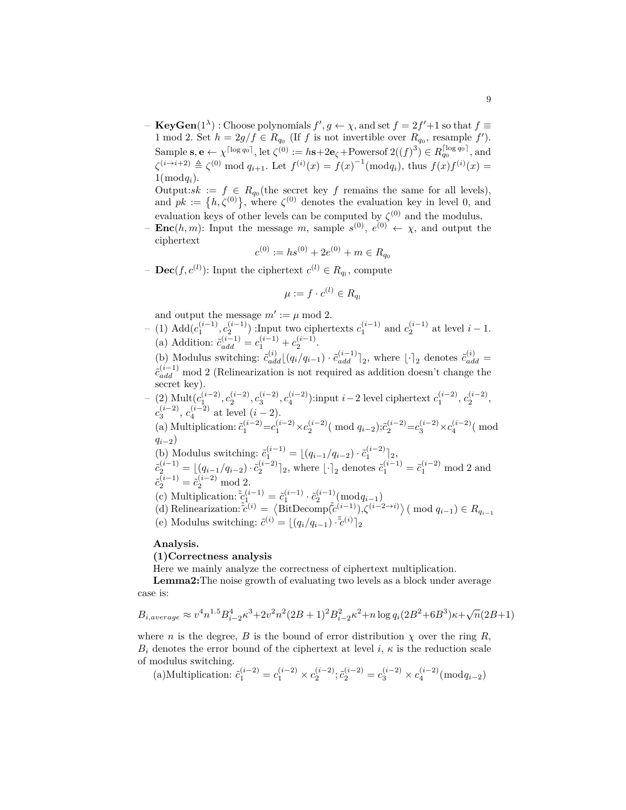$\mathbf{F} \cdot \mathbf{K}$  **Choose polynomials**  $f', g \leftarrow \chi$ , and set  $f = 2f' + 1$  so that  $f \equiv$ 1 mod 2. Set  $h = 2g/f \in R_{q_0}$  (If *f* is not invertible over  $R_{q_0}$ , resample *f'*). Sample  $\mathbf{s}, \mathbf{e} \leftarrow \chi^{\lceil \log q_0 \rceil}$ , let  $\zeta^{(0)} := h\mathbf{s} + 2\mathbf{e}_\zeta + \text{Powersof } 2((f)^3) \in R_{q_0}^{\lceil \log q_0 \rceil}$ , and  $\zeta^{(i \to i+2)} \triangleq \zeta^{(0)} \mod q_{i+1}$ . Let  $f^{(i)}(x) = f(x)^{-1}(\bmod q_i)$ , thus  $f(x)f^{(i)}(x) =$  $1(\bmod q_i)$ .

Output: $sk := f \in R_{q_0}$ (the secret key f remains the same for all levels), and  $pk := \{h, \zeta^{(0)}\}$ , where  $\zeta^{(0)}$  denotes the evaluation key in level 0, and evaluation keys of other levels can be computed by  $\zeta^{(0)}$  and the modulus.

 $-\text{Enc}(h, m)$ : Input the message *m*, sample  $s^{(0)}$ ,  $e^{(0)} \leftarrow \chi$ , and output the ciphertext

$$
c^{(0)} := hs^{(0)} + 2e^{(0)} + m \in R_{q_0}
$$

 $-\textbf{Dec}(f, c^{(l)})$ : Input the ciphertext  $c^{(l)} \in R_{q_l}$ , compute

$$
\mu := f \cdot c^{(l)} \in R_{q_l}
$$

and output the message  $m' := \mu \mod 2$ .

- *–* (1) Add( $c_1^{(i-1)}$ ,  $c_2^{(i-1)}$ ) :Input two ciphertexts  $c_1^{(i-1)}$  and  $c_2^{(i-1)}$  at level *i* − 1. (a) Addition:  $\tilde{c}_{add}^{(i-1)} = c_1^{(i-1)} + c_2^{(i-1)}$ . (b) Modulus switching:  $\tilde{c}_{add}^{(i)}|(q_i/q_{i-1})\cdot \tilde{c}_{add}^{(i-1)}|_2$ , where  $\lfloor \cdot \rfloor_2$  denotes  $\tilde{c}_{add}^{(i)}$  $\tilde{c}_{add}^{(i-1)}$  mod 2 (Relinearization is not required as addition doesn't change the
	- secret key).
- $-$  (2) Mult $(c_1^{(i-2)}, c_2^{(i-2)}, c_3^{(i-2)}, c_4^{(i-2)})$ :input  $i-2$  level ciphertext  $c_1^{(i-2)}, c_2^{(i-2)}$ ,  $c_3^{(i-2)}$ ,  $c_4^{(i-2)}$  at level  $(i-2)$ . (a) Multiplication:  $\tilde{c}_1^{(i-2)} = c_1^{(i-2)} \times c_2^{(i-2)}$  (mod  $q_{i-2}$ ); $\tilde{c}_2^{(i-2)} = c_3^{(i-2)} \times c_4^{(i-2)}$  (mod *qi−*2) (b) Modulus switching:  $\tilde{c}_1^{(i-1)} = \lfloor (q_{i-1}/q_{i-2}) \cdot \tilde{c}_1^{(i-2)} \rfloor_2$ ,  $\tilde{c}_2^{(i-1)} = \lfloor (q_{i-1}/q_{i-2}) \cdot \tilde{c}_2^{(i-2)} \rceil_2$ , where  $\lfloor \cdot \rceil_2$  denotes  $\tilde{c}_1^{(i-1)} = \tilde{c}_1^{(i-2)} \mod 2$  and  $\tilde{c}_2^{(i-1)} = \tilde{c}_2^{(i-2)} \mod 2.$ 
	- (c) Multiplication:  $\tilde{c}_{1}^{(i-1)} = \tilde{c}_1^{(i-1)} \cdot \tilde{c}_2^{(i-1)} \pmod{q_{i-1}}$
	- $\langle d \rangle$  Relinearization: $\tilde{c}^{(i)} = \langle \text{BitDecomp}(\tilde{c}^{(i-1)}), \zeta^{(i-2\to i)} \rangle$  (mod  $q_{i-1} \in R_{q_{i-1}}$ )
	- (e) Modulus switching:  $\tilde{c}^{(i)} = \lfloor (q_i/q_{i-1}) \cdot \tilde{c}^{(i)} \rfloor_2$

# **Analysis.**

# **(1)Correctness analysis**

Here we mainly analyze the correctness of ciphertext multiplication.

**Lemma2:**The noise growth of evaluating two levels as a block under average case is:

$$
B_{i,average} \approx v^4 n^{1.5} B_{i-2}^4 \kappa^3 + 2v^2 n^2 (2B+1)^2 B_{i-2}^2 \kappa^2 + n \log q_i (2B^2 + 6B^3) \kappa + \sqrt{n} (2B+1)
$$

where *n* is the degree, *B* is the bound of error distribution  $\chi$  over the ring *R*,  $B_i$  denotes the error bound of the ciphertext at level *i*,  $\kappa$  is the reduction scale of modulus switching.

(a)Multiplication:  $\tilde{c}_1^{(i-2)} = c_1^{(i-2)} \times c_2^{(i-2)}$ ;  $\tilde{c}_2^{(i-2)} = c_3^{(i-2)} \times c_4^{(i-2)} \pmod{q_{i-2}}$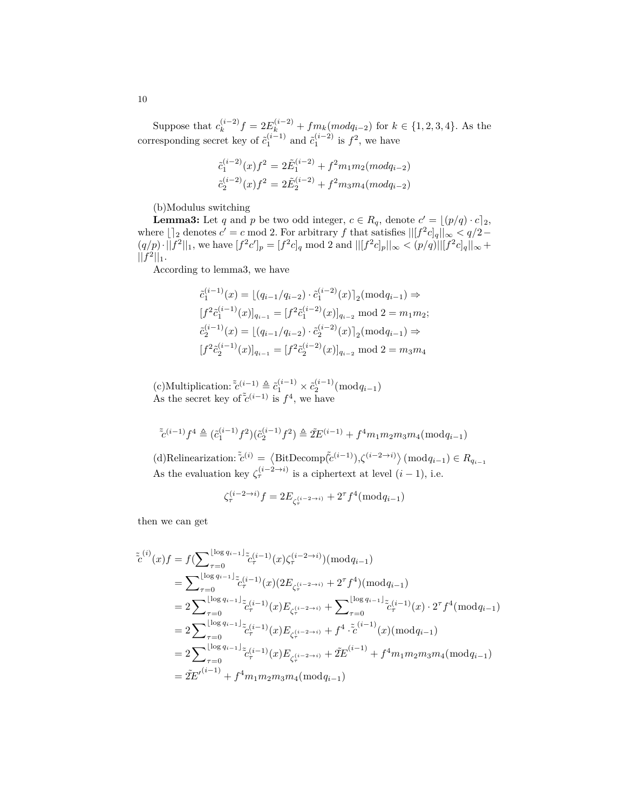Suppose that  $c_k^{(i-2)}$  $f_k^{(i-2)}f = 2E_k^{(i-2)} + fm_k(modq_{i-2})$  for  $k \in \{1, 2, 3, 4\}$ . As the corresponding secret key of  $\tilde{c}_1^{(i-1)}$  and  $\tilde{c}_1^{(i-2)}$  is  $f^2$ , we have

$$
\tilde{c}_1^{(i-2)}(x)f^2 = 2\tilde{E}_1^{(i-2)} + f^2m_1m_2(mod_{i-2})
$$
  

$$
\tilde{c}_2^{(i-2)}(x)f^2 = 2\tilde{E}_2^{(i-2)} + f^2m_3m_4(mod_{i-2})
$$

(b)Modulus switching

**Lemma3:** Let *q* and *p* be two odd integer,  $c \in R_q$ , denote  $c' = \lfloor (p/q) \cdot c \rfloor_2$ , where  $\lfloor \frac{n}{2} \rfloor$  denotes  $c' = c \mod 2$ . For arbitrary  $f$  that satisfies  $\lfloor |[f^2c]_q||_{\infty} < q/2 (q/p) \cdot ||f^2||_1$ , we have  $[f^2c']_p = [f^2c]_q \mod 2$  and  $||[f^2c]_p||_{\infty} < (p/q) ||[f^2c]_q||_{\infty} +$  $||f^2||_1.$ 

According to lemma3, we have

$$
\tilde{c}_1^{(i-1)}(x) = \lfloor (q_{i-1}/q_{i-2}) \cdot \tilde{c}_1^{(i-2)}(x) \rfloor_2 (\text{mod } q_{i-1}) \Rightarrow
$$
  
\n
$$
[f^2 \tilde{c}_1^{(i-1)}(x)]_{q_{i-1}} = [f^2 \tilde{c}_1^{(i-2)}(x)]_{q_{i-2}} \text{ mod } 2 = m_1 m_2;
$$
  
\n
$$
\tilde{c}_2^{(i-1)}(x) = \lfloor (q_{i-1}/q_{i-2}) \cdot \tilde{c}_2^{(i-2)}(x) \rfloor_2 (\text{mod } q_{i-1}) \Rightarrow
$$
  
\n
$$
[f^2 \tilde{c}_2^{(i-1)}(x)]_{q_{i-1}} = [f^2 \tilde{c}_2^{(i-2)}(x)]_{q_{i-2}} \text{ mod } 2 = m_3 m_4
$$

 $(c)$ Multiplication:  $\tilde{c}^{(i-1)} \triangleq \tilde{c}_1^{(i-1)} \times \tilde{c}_2^{(i-1)} \pmod{q_{i-1}}$ As the secret key of  $\tilde{c}^{(i-1)}$  is  $f^4$ , we have

$$
\tilde{\mathbf{c}}^{(i-1)}f^4 \triangleq (\tilde{c}_1^{(i-1)}f^2)(\tilde{c}_2^{(i-1)}f^2) \triangleq 2 \tilde{\mathbf{E}}^{(i-1)} + f^4 m_1 m_2 m_3 m_4 (\bmod q_{i-1})
$$

 $\langle \text{d}\rangle$ Relinearization:  $\tilde{c}^{(i)} = \langle \text{BitDecomp}(\tilde{c}^{(i-1)}), \zeta^{(i-2\to i)} \rangle \pmod{q_{i-1}} \in R_{q_{i-1}}$ As the evaluation key  $\zeta_{\tau}^{(i-2\to i)}$  is a ciphertext at level  $(i-1)$ , i.e.

$$
\zeta_{\tau}^{(i-2\to i)} f = 2E_{\zeta_{\tau}^{(i-2\to i)}} + 2^{\tau} f^4(\bmod q_{i-1})
$$

then we can get

$$
\tilde{c}^{(i)}(x)f = f(\sum_{\tau=0}^{\lfloor \log q_{i-1} \rfloor} \tilde{c}^{(i-1)}_{\tau} (x) \zeta_{\tau}^{(i-2\to i)}) (\text{mod } q_{i-1})
$$
\n
$$
= \sum_{\tau=0}^{\lfloor \log q_{i-1} \rfloor} \tilde{c}^{(i-1)}_{\tau} (x) (2E_{\zeta_{\tau}^{(i-2\to i)}} + 2^{\tau} f^{4}) (\text{mod } q_{i-1})
$$
\n
$$
= 2 \sum_{\tau=0}^{\lfloor \log q_{i-1} \rfloor} \tilde{c}^{(i-1)}_{\tau} (x) E_{\zeta_{\tau}^{(i-2\to i)}} + \sum_{\tau=0}^{\lfloor \log q_{i-1} \rfloor} \tilde{c}^{(i-1)}_{\tau} (x) \cdot 2^{\tau} f^{4} (\text{mod } q_{i-1})
$$
\n
$$
= 2 \sum_{\tau=0}^{\lfloor \log q_{i-1} \rfloor} \tilde{c}^{(i-1)}_{\tau} (x) E_{\zeta_{\tau}^{(i-2\to i)}} + f^{4} \cdot \tilde{c}^{(i-1)}_{\tau} (x) (\text{mod } q_{i-1})
$$
\n
$$
= 2 \sum_{\tau=0}^{\lfloor \log q_{i-1} \rfloor} \tilde{c}^{(i-1)}_{\tau} (x) E_{\zeta_{\tau}^{(i-2\to i)}} + 2 \tilde{E}^{(i-1)} + f^{4} m_{1} m_{2} m_{3} m_{4} (\text{mod } q_{i-1})
$$
\n
$$
= 2 \tilde{E}^{f(i-1)} + f^{4} m_{1} m_{2} m_{3} m_{4} (\text{mod } q_{i-1})
$$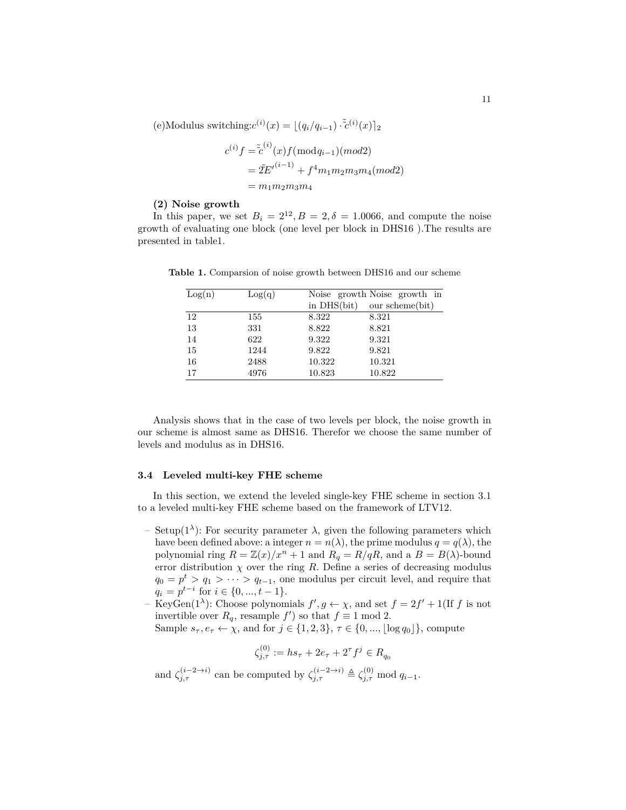$(e)$ Modulus switching: $c^{(i)}(x) = \lfloor (q_i/q_{i-1}) \cdot \tilde{c}^{(i)}(x) \rfloor_2$ 

$$
c^{(i)}f = \tilde{c}^{(i)}(x)f(\text{mod}q_{i-1})(\text{mod}2)
$$
  
=  $\tilde{Z}E'^{(i-1)} + f^4m_1m_2m_3m_4(\text{mod}2)$   
=  $m_1m_2m_3m_4$ 

#### **(2) Noise growth**

In this paper, we set  $B_i = 2^{12}, B = 2, \delta = 1.0066$ , and compute the noise growth of evaluating one block (one level per block in DHS16 ).The results are presented in table1.

| Log(n) | Log(q) |        | Noise growth Noise growth in  |
|--------|--------|--------|-------------------------------|
|        |        |        | in $DHS(bit)$ our scheme(bit) |
| 12     | 155    | 8.322  | 8.321                         |
| 13     | 331    | 8.822  | 8.821                         |
| 14     | 622    | 9.322  | 9.321                         |
| 15     | 1244   | 9.822  | 9.821                         |
| 16     | 2488   | 10.322 | 10.321                        |
| 17     | 4976   | 10.823 | 10.822                        |

**Table 1.** Comparsion of noise growth between DHS16 and our scheme

Analysis shows that in the case of two levels per block, the noise growth in our scheme is almost same as DHS16. Therefor we choose the same number of levels and modulus as in DHS16.

### **3.4 Leveled multi-key FHE scheme**

In this section, we extend the leveled single-key FHE scheme in section 3.1 to a leveled multi-key FHE scheme based on the framework of LTV12.

- Setup(1*<sup>λ</sup>* ): For security parameter *λ*, given the following parameters which have been defined above: a integer  $n = n(\lambda)$ , the prime modulus  $q = q(\lambda)$ , the polynomial ring  $R = \mathbb{Z}(x)/x^n + 1$  and  $R_q = R/qR$ , and a  $B = B(\lambda)$ -bound error distribution  $\chi$  over the ring  $R$ . Define a series of decreasing modulus  $q_0 = p^t > q_1 > \cdots > q_{t-1}$ , one modulus per circuit level, and require that  $q_i = p^{t-i}$  for  $i \in \{0, ..., t-1\}$ .
- $-$  KeyGen(1<sup> $\lambda$ </sup>): Choose polynomials  $f', g \leftarrow \chi$ , and set  $f = 2f' + 1$ (If  $f$  is not invertible over  $R_q$ , resample  $f'$ ) so that  $f \equiv 1 \text{ mod } 2$ .
	- Sample  $s_{\tau}, e_{\tau} \leftarrow \chi$ , and for  $j \in \{1, 2, 3\}, \tau \in \{0, ..., \lfloor \log q_0 \rfloor\}$ , compute

$$
\zeta_{j,\tau}^{(0)} := h s_{\tau} + 2e_{\tau} + 2^{\tau} f^j \in R_{q_0}
$$

and  $\zeta_{j,\tau}^{(i-2\to i)}$  can be computed by  $\zeta_{j,\tau}^{(i-2\to i)} \triangleq \zeta_{j,\tau}^{(0)}$  mod  $q_{i-1}$ .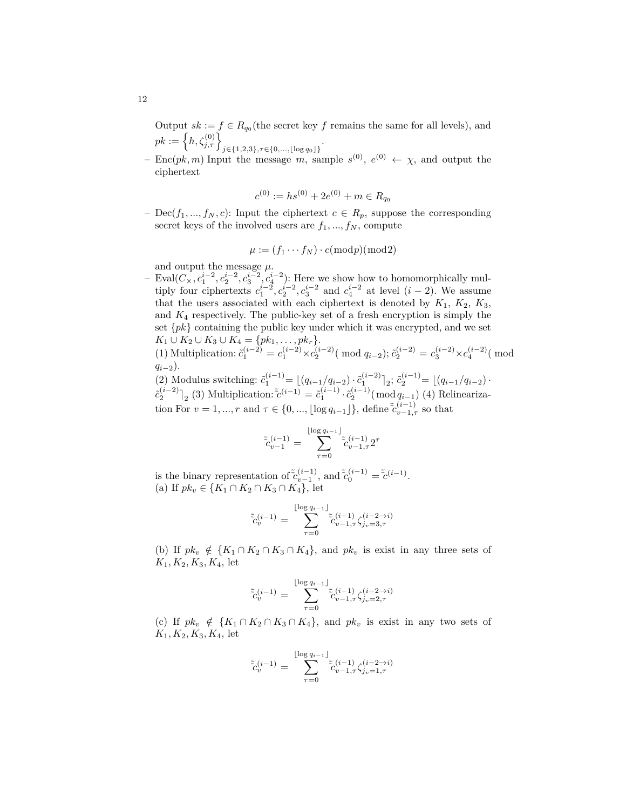Output  $sk := f \in R_{q_0}$  (the secret key  $f$  remains the same for all levels), and  $pk := \left\{ h, \zeta_{j,\tau}^{(0)} \right\}_{j \in \{1,2,3\}, \tau \in \{0,\dots, \lfloor \log q_0 \rfloor\}}$ .

 $-$  Enc(*pk, m*) Input the message *m*, sample  $s^{(0)}$ ,  $e^{(0)} \leftarrow \chi$ , and output the ciphertext

$$
c^{(0)} := hs^{(0)} + 2e^{(0)} + m \in R_{q_0}
$$

 $-\text{Dec}(f_1, ..., f_N, c)$ : Input the ciphertext  $c \in R_p$ , suppose the corresponding secret keys of the involved users are  $f_1, ..., f_N$ , compute

$$
\mu := (f_1 \cdots f_N) \cdot c(\bmod p)(\bmod 2)
$$

and output the message  $\mu$ .

 $-$  Eval( $C_{\times}$ ,  $c_1^{i-2}$ ,  $c_2^{i-2}$ ,  $c_3^{i-2}$ ,  $c_4^{i-2}$ ): Here we show how to homomorphically multiply four ciphertexts  $c_1^{i-2}$ ,  $c_2^{i-2}$ ,  $c_3^{i-2}$  and  $c_4^{i-2}$  at level  $(i-2)$ . We assume that the users associated with each ciphertext is denoted by  $K_1$ ,  $K_2$ ,  $K_3$ , and *K*<sup>4</sup> respectively. The public-key set of a fresh encryption is simply the set *{pk}* containing the public key under which it was encrypted, and we set *K*<sub>1</sub> ∪ *K*<sub>2</sub> ∪ *K*<sub>3</sub> ∪ *K*<sub>4</sub> = { $pk_1$ , . . . ,  $pk_r$  }.

(1) Multiplication: 
$$
\tilde{c}_1^{(i-2)} = c_1^{(i-2)} \times c_2^{(i-2)} \pmod{q_{i-2}}
$$
;  $\tilde{c}_2^{(i-2)} = c_3^{(i-2)} \times c_4^{(i-2)} \pmod{q_{i-2}}$ .

(2) Modulus switching:  $\tilde{c}_1^{(i-1)} = \lfloor (q_{i-1}/q_{i-2}) \cdot \tilde{c}_1^{(i-2)} \rfloor_2$ ;  $\tilde{c}_2^{(i-1)} = \lfloor (q_{i-1}/q_{i-2}) \cdot$  $\tilde{c}_2^{(i-2)}$ <sup>[</sup><sub>2</sub> (3) Multiplication:  $\tilde{c}^{(i-1)} = \tilde{c}_1^{(i-1)} \cdot \tilde{c}_2^{(i-1)} (\bmod q_{i-1})$  (4) Relinearization For  $v = 1, ..., r$  and  $\tau \in \{0, ..., \lfloor \log q_{i-1} \rfloor \}$ , define  $\tilde{c}_{v-1,\tau}^{(i-1)}$  so that

$$
\tilde{c}_{v-1}^{(i-1)} = \sum_{\tau=0}^{\lfloor \log q_{i-1} \rfloor} \tilde{c}_{v-1,\tau}^{(i-1)} 2^{\tau}
$$

is the binary representation of  $\tilde{c}_{v-1}^{(i-1)}$ , and  $\tilde{c}_0^{(i-1)} = \tilde{c}^{(i-1)}$ . (a) If *pk<sup>v</sup> ∈ {K*<sup>1</sup> *∩ K*<sup>2</sup> *∩ K*<sup>3</sup> *∩ K*4*}*, let

$$
\tilde{c}_{v}^{(i-1)} = \sum_{\tau=0}^{\lfloor \log q_{i-1} \rfloor} \tilde{c}_{v-1,\tau}^{(i-1)} \zeta_{j_v=3,\tau}^{(i-2\to i)}
$$

(b) If  $pk_v \notin \{K_1 \cap K_2 \cap K_3 \cap K_4\}$ , and  $pk_v$  is exist in any three sets of *K*1*, K*2*, K*3*, K*4, let

$$
\tilde{\tilde{c}}_{v}^{(i-1)} = \sum_{\tau=0}^{\lfloor \log q_{i-1} \rfloor} \tilde{\tilde{c}}_{v-1,\tau}^{(i-1)} \zeta_{v-2,\tau}^{(i-2\to i)}
$$

(c) If  $pk_v \notin \{K_1 \cap K_2 \cap K_3 \cap K_4\}$ , and  $pk_v$  is exist in any two sets of  $K_1, K_2, K_3, K_4$ , let

$$
\tilde{c}_{v}^{(i-1)} = \sum_{\tau=0}^{\lfloor \log q_{i-1} \rfloor} \tilde{c}_{v-1,\tau}^{(i-1)} \zeta_{j_{v}=1,\tau}^{(i-2\to i)}
$$

12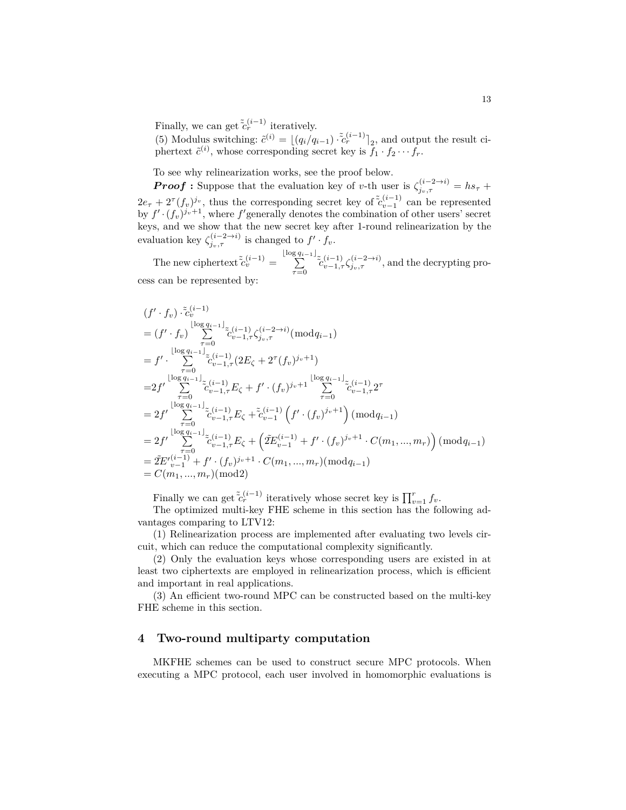Finally, we can get  $\tilde{c}^{(i-1)}_r$  iteratively.

(5) Modulus switching:  $\tilde{c}^{(i)} = \lfloor (q_i/q_{i-1}) \cdot \tilde{c}_r^{(i-1)} \rfloor_2$ , and output the result ciphertext  $\tilde{c}^{(i)}$ , whose corresponding secret key is  $f_1 \cdot f_2 \cdots f_r$ .

To see why relinearization works, see the proof below.

*Proof* : Suppose that the evaluation key of *v*-th user is  $\zeta_{j_v,\tau}^{(i-2\to i)} = hs_\tau +$  $2e_{\tau} + 2^{\tau}(f_v)^{j_v}$ , thus the corresponding secret key of  $\tilde{c}_{v-1}^{(i-1)}$  can be represented by  $f' \cdot (f_v)^{j_v+1}$ , where  $f'$  generally denotes the combination of other users' secret keys, and we show that the new secret key after 1-round relinearization by the evaluation key  $\zeta_{j_v,\tau}^{(i-2\to i)}$  is changed to  $f' \cdot f_v$ .

The new ciphertext  $\tilde{c}_v^{(i-1)} = \sum_{n=1}^{\lfloor \log q_{i-1} \rfloor}$  $\sum_{\tau=0}^{2n-1}$ <sup>*c*</sup><sub>*c*</sub><sup>*c*</sup><sub>*c*</sub><sub>*-*</sub><sub>1</sub>*,τ*</sub>  $\zeta_{j_v,\tau}$ *<sup><i>i*</sup>, and the decrypting process can be represented by:

$$
(f' \cdot f_v) \cdot \tilde{c}_v^{(i-1)} \n= (f' \cdot f_v) \sum_{\tau=0}^{\lfloor \log q_{i-1} \rfloor} \tilde{c}_{v-1,\tau}^{(i-1)} \zeta_{j_v,\tau}^{(i-2\to i)} \pmod{q_{i-1}} \n= f' \cdot \sum_{\tau=0}^{\lfloor \log q_{i-1} \rfloor} \tilde{c}_{v-1,\tau}^{(i-1)} (2E_{\zeta} + 2^{\tau} (f_v)^{j_v+1}) \n= 2f' \sum_{\tau=0}^{\lfloor \log q_{i-1} \rfloor} \tilde{c}_{v-1,\tau}^{(i-1)} E_{\zeta} + f' \cdot (f_v)^{j_v+1} \sum_{\tau=0}^{\lfloor \log q_{i-1} \rfloor} \tilde{c}_{v-1,\tau}^{(i-1)} 2^{\tau} \n= 2f' \sum_{\tau=0}^{\lfloor \log q_{i-1} \rfloor} \tilde{c}_{v-1,\tau}^{(i-1)} E_{\zeta} + \tilde{c}_v^{(i-1)} \left( f' \cdot (f_v)^{j_v+1} \right) \pmod{q_{i-1}} \n= 2f' \sum_{\tau=0}^{\lfloor \log q_{i-1} \rfloor} \tilde{c}_{v-1,\tau}^{(i-1)} E_{\zeta} + \left( \tilde{z} E_{v-1}^{(i-1)} + f' \cdot (f_v)^{j_v+1} \cdot C(m_1, ..., m_r) \right) \pmod{q_{i-1}} \n= \tilde{z} E'_{v-1}^{(i-1)} + f' \cdot (f_v)^{j_v+1} \cdot C(m_1, ..., m_r) \pmod{q_{i-1}} \n= C(m_1, ..., m_r) \pmod{2}
$$

Finally we can get  $\tilde{c}_r^{(i-1)}$  iteratively whose secret key is  $\prod_{v=1}^r f_v$ .

The optimized multi-key FHE scheme in this section has the following advantages comparing to LTV12:

(1) Relinearization process are implemented after evaluating two levels circuit, which can reduce the computational complexity significantly.

(2) Only the evaluation keys whose corresponding users are existed in at least two ciphertexts are employed in relinearization process, which is efficient and important in real applications.

(3) An efficient two-round MPC can be constructed based on the multi-key FHE scheme in this section.

# **4 Two-round multiparty computation**

MKFHE schemes can be used to construct secure MPC protocols. When executing a MPC protocol, each user involved in homomorphic evaluations is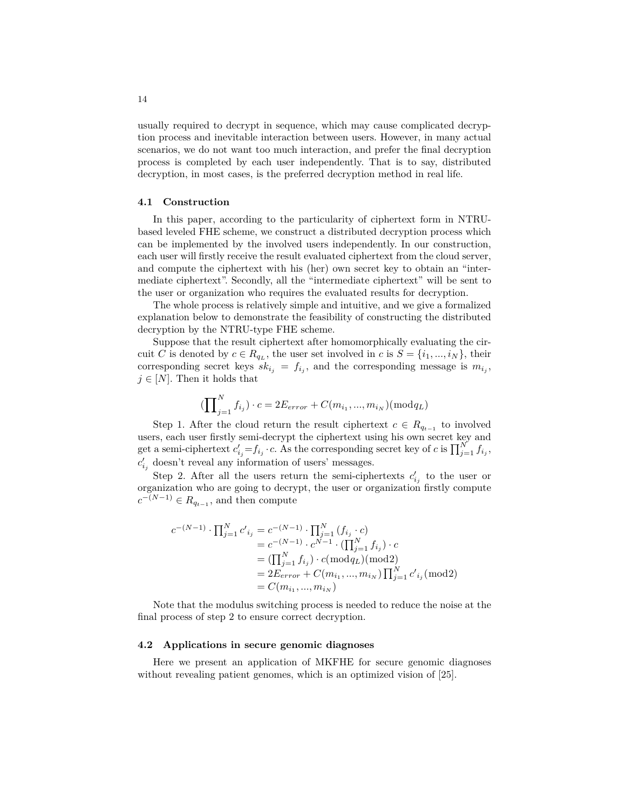usually required to decrypt in sequence, which may cause complicated decryption process and inevitable interaction between users. However, in many actual scenarios, we do not want too much interaction, and prefer the final decryption process is completed by each user independently. That is to say, distributed decryption, in most cases, is the preferred decryption method in real life.

#### **4.1 Construction**

In this paper, according to the particularity of ciphertext form in NTRUbased leveled FHE scheme, we construct a distributed decryption process which can be implemented by the involved users independently. In our construction, each user will firstly receive the result evaluated ciphertext from the cloud server, and compute the ciphertext with his (her) own secret key to obtain an "intermediate ciphertext". Secondly, all the "intermediate ciphertext" will be sent to the user or organization who requires the evaluated results for decryption.

The whole process is relatively simple and intuitive, and we give a formalized explanation below to demonstrate the feasibility of constructing the distributed decryption by the NTRU-type FHE scheme.

Suppose that the result ciphertext after homomorphically evaluating the circuit *C* is denoted by  $c \in R_{q_L}$ , the user set involved in  $c$  is  $S = \{i_1, ..., i_N\}$ , their corresponding secret keys  $sk_{i_j} = f_{i_j}$ , and the corresponding message is  $m_{i_j}$ ,  $j \in [N]$ . Then it holds that

$$
(\prod\nolimits_{j=1}^N f_{i_j}) \cdot c = 2 E_{error} + C(m_{i_1},...,m_{i_N}) (\bmod q_L)
$$

Step 1. After the cloud return the result ciphertext  $c \in R_{q_{t-1}}$  to involved users, each user firstly semi-decrypt the ciphertext using his own secret key and get a semi-ciphertext  $c'_{i_j} = f_{i_j} \cdot c$ . As the corresponding secret key of *c* is  $\prod_{j=1}^{N} f_{i_j}$ ,  $c'_{i_j}$  doesn't reveal any information of users' messages.

Step 2. After all the users return the semi-ciphertexts  $c'_{i_j}$  to the user or organization who are going to decrypt, the user or organization firstly compute  $c^{-(N-1)} \in R_{q_{t-1}}$ , and then compute

$$
c^{-(N-1)} \cdot \prod_{j=1}^{N} c'_{i_j} = c^{-(N-1)} \cdot \prod_{j=1}^{N} (f_{i_j} \cdot c)
$$
  
=  $c^{-(N-1)} \cdot c^{N-1} \cdot (\prod_{j=1}^{N} f_{i_j}) \cdot c$   
=  $(\prod_{j=1}^{N} f_{i_j}) \cdot c (\text{mod} q_L)(\text{mod} 2)$   
=  $2E_{error} + C(m_{i_1}, ..., m_{i_N}) \prod_{j=1}^{N} c'_{i_j} (\text{mod} 2)$   
=  $C(m_{i_1}, ..., m_{i_N})$ 

Note that the modulus switching process is needed to reduce the noise at the final process of step 2 to ensure correct decryption.

#### **4.2 Applications in secure genomic diagnoses**

Here we present an application of MKFHE for secure genomic diagnoses without revealing patient genomes, which is an optimized vision of [25].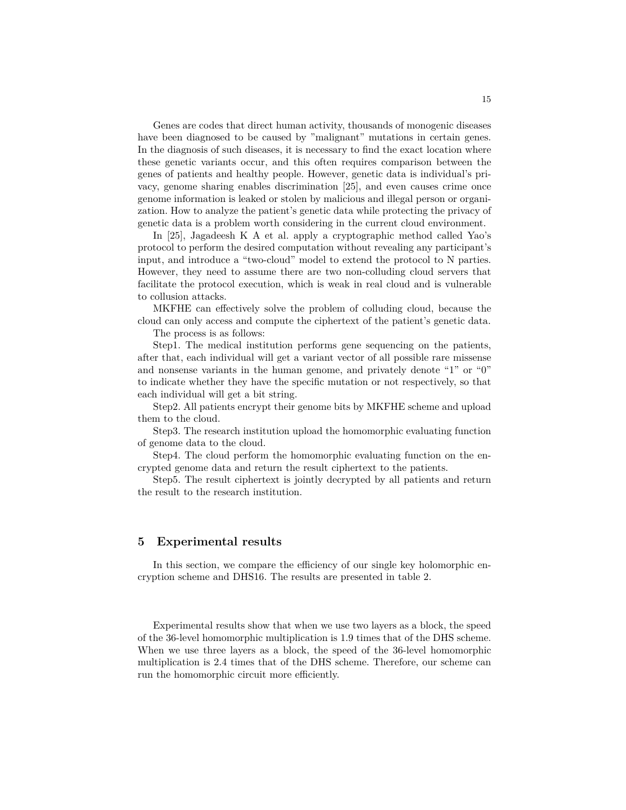Genes are codes that direct human activity, thousands of monogenic diseases have been diagnosed to be caused by "malignant" mutations in certain genes. In the diagnosis of such diseases, it is necessary to find the exact location where these genetic variants occur, and this often requires comparison between the genes of patients and healthy people. However, genetic data is individual's privacy, genome sharing enables discrimination [25], and even causes crime once genome information is leaked or stolen by malicious and illegal person or organization. How to analyze the patient's genetic data while protecting the privacy of genetic data is a problem worth considering in the current cloud environment.

In [25], Jagadeesh K A et al. apply a cryptographic method called Yao's protocol to perform the desired computation without revealing any participant's input, and introduce a "two-cloud" model to extend the protocol to N parties. However, they need to assume there are two non-colluding cloud servers that facilitate the protocol execution, which is weak in real cloud and is vulnerable to collusion attacks.

MKFHE can effectively solve the problem of colluding cloud, because the cloud can only access and compute the ciphertext of the patient's genetic data. The process is as follows:

Step1. The medical institution performs gene sequencing on the patients, after that, each individual will get a variant vector of all possible rare missense and nonsense variants in the human genome, and privately denote "1" or "0" to indicate whether they have the specific mutation or not respectively, so that each individual will get a bit string.

Step2. All patients encrypt their genome bits by MKFHE scheme and upload them to the cloud.

Step3. The research institution upload the homomorphic evaluating function of genome data to the cloud.

Step4. The cloud perform the homomorphic evaluating function on the encrypted genome data and return the result ciphertext to the patients.

Step5. The result ciphertext is jointly decrypted by all patients and return the result to the research institution.

#### **5 Experimental results**

In this section, we compare the efficiency of our single key holomorphic encryption scheme and DHS16. The results are presented in table 2.

Experimental results show that when we use two layers as a block, the speed of the 36-level homomorphic multiplication is 1.9 times that of the DHS scheme. When we use three layers as a block, the speed of the 36-level homomorphic multiplication is 2.4 times that of the DHS scheme. Therefore, our scheme can run the homomorphic circuit more efficiently.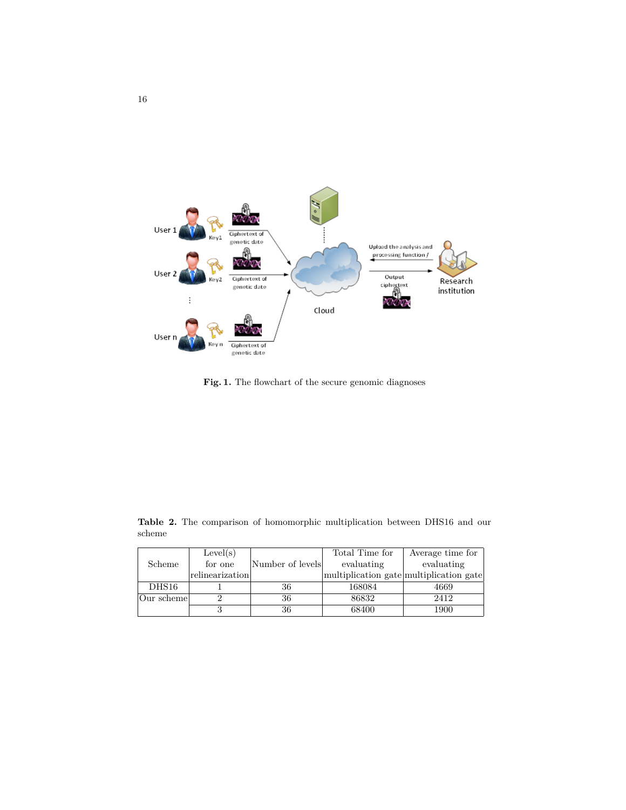

Fig. 1. The flowchart of the secure genomic diagnoses

|            | Level(s)                   |                  | Total Time for | Average time for                        |
|------------|----------------------------|------------------|----------------|-----------------------------------------|
| Scheme     | for one                    | Number of levels | evaluating     | evaluating                              |
|            | $ \text{relinearization} $ |                  |                | multiplication gate multiplication gate |
| DHS16      |                            | 36               | 168084         | 4669                                    |
| Our scheme |                            | 36               | 86832          | 2412                                    |
|            |                            | 36               | 68400          | 1900                                    |

**Table 2.** The comparison of homomorphic multiplication between DHS16 and our scheme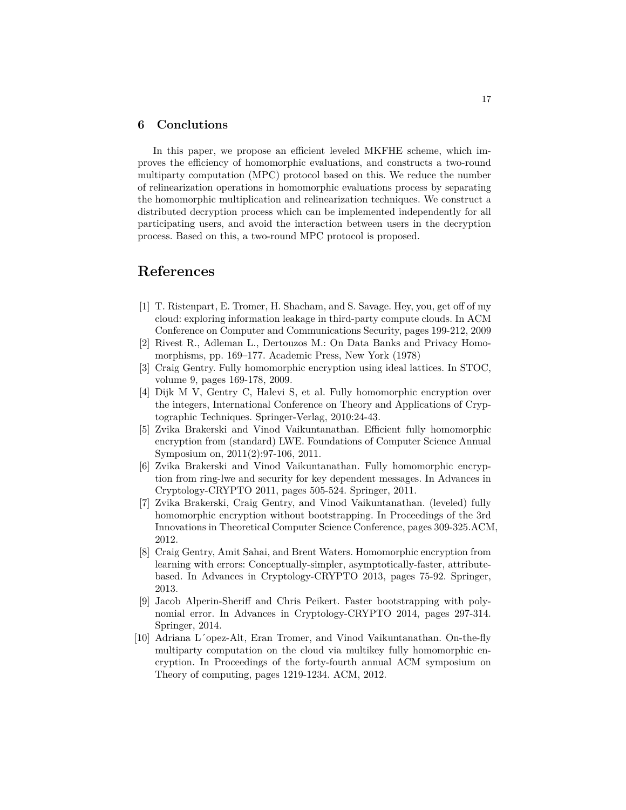# **6 Conclutions**

In this paper, we propose an efficient leveled MKFHE scheme, which improves the efficiency of homomorphic evaluations, and constructs a two-round multiparty computation (MPC) protocol based on this. We reduce the number of relinearization operations in homomorphic evaluations process by separating the homomorphic multiplication and relinearization techniques. We construct a distributed decryption process which can be implemented independently for all participating users, and avoid the interaction between users in the decryption process. Based on this, a two-round MPC protocol is proposed.

# **References**

- [1] T. Ristenpart, E. Tromer, H. Shacham, and S. Savage. Hey, you, get off of my cloud: exploring information leakage in third-party compute clouds. In ACM Conference on Computer and Communications Security, pages 199-212, 2009
- [2] Rivest R., Adleman L., Dertouzos M.: On Data Banks and Privacy Homomorphisms, pp. 169–177. Academic Press, New York (1978)
- [3] Craig Gentry. Fully homomorphic encryption using ideal lattices. In STOC, volume 9, pages 169-178, 2009.
- [4] Dijk M V, Gentry C, Halevi S, et al. Fully homomorphic encryption over the integers, International Conference on Theory and Applications of Cryptographic Techniques. Springer-Verlag, 2010:24-43.
- [5] Zvika Brakerski and Vinod Vaikuntanathan. Efficient fully homomorphic encryption from (standard) LWE. Foundations of Computer Science Annual Symposium on, 2011(2):97-106, 2011.
- [6] Zvika Brakerski and Vinod Vaikuntanathan. Fully homomorphic encryption from ring-lwe and security for key dependent messages. In Advances in Cryptology-CRYPTO 2011, pages 505-524. Springer, 2011.
- [7] Zvika Brakerski, Craig Gentry, and Vinod Vaikuntanathan. (leveled) fully homomorphic encryption without bootstrapping. In Proceedings of the 3rd Innovations in Theoretical Computer Science Conference, pages 309-325.ACM, 2012.
- [8] Craig Gentry, Amit Sahai, and Brent Waters. Homomorphic encryption from learning with errors: Conceptually-simpler, asymptotically-faster, attributebased. In Advances in Cryptology-CRYPTO 2013, pages 75-92. Springer, 2013.
- [9] Jacob Alperin-Sheriff and Chris Peikert. Faster bootstrapping with polynomial error. In Advances in Cryptology-CRYPTO 2014, pages 297-314. Springer, 2014.
- [10] Adriana L´opez-Alt, Eran Tromer, and Vinod Vaikuntanathan. On-the-fly multiparty computation on the cloud via multikey fully homomorphic encryption. In Proceedings of the forty-fourth annual ACM symposium on Theory of computing, pages 1219-1234. ACM, 2012.